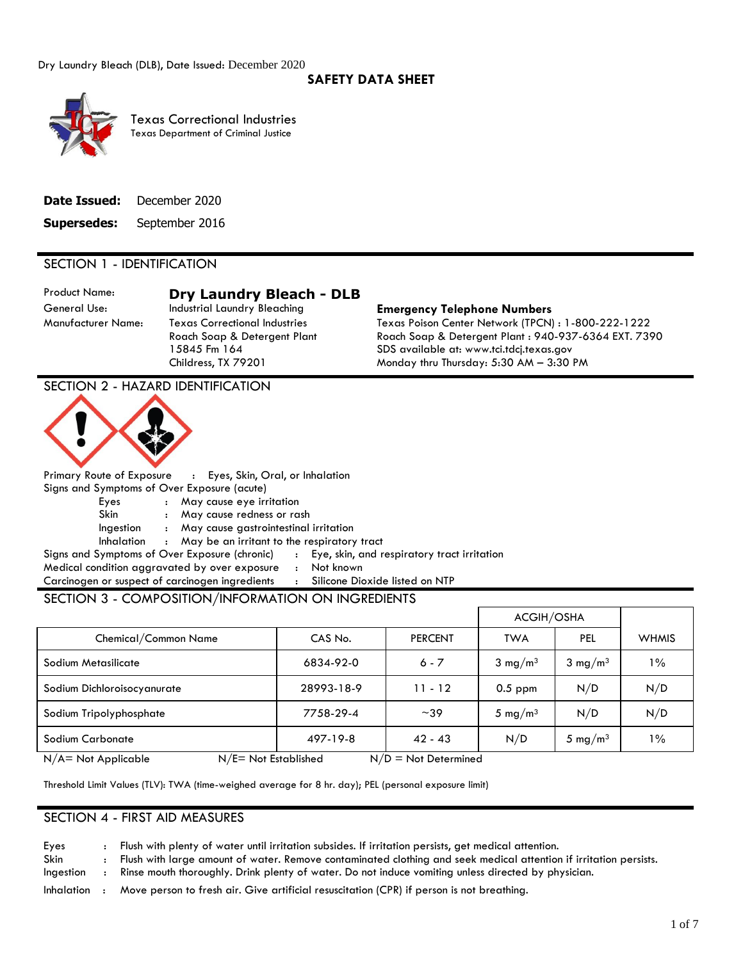## **SAFETY DATA SHEET**



 Texas Department of Criminal Justice Texas Correctional Industries

|                    | <b>Date Issued:</b> December 2020 |
|--------------------|-----------------------------------|
| <b>Supersedes:</b> | September 2016                    |

## SECTION 1 - IDENTIFICATION

# Product Name: **Dry Laundry Bleach - DLB**

## General Use: Industrial Laundry Bleaching **Emergency Telephone Numbers**

Manufacturer Name: Texas Correctional Industries Texas Poison Center Network (TPCN) : 1-800-222-1222 Roach Soap & Detergent Plant Roach Soap & Detergent Plant : 940-937-6364 EXT. 7390 15845 Fm 164 SDS available at:<www.tci.tdcj.texas.gov> Childress, TX 79201 Monday thru Thursday: 5:30 AM – 3:30 PM

## SECTION 2 - HAZARD IDENTIFICATION



Primary Route of Exposure : Eyes, Skin, Oral, or Inhalation Signs and Symptoms of Over Exposure (acute)

Eyes : May cause eye irritation

Skin : May cause redness or rash

Ingestion : May cause gastrointestinal irritation

Inhalation : May be an irritant to the respiratory tract

Signs and Symptoms of Over Exposure (chronic) : Eye, skin, and respiratory tract irritation Medical condition aggravated by over exposure : Not known

Carcinogen or suspect of carcinogen ingredients : Silicone Dioxide listed on NTP

## SECTION 3 - COMPOSITION/INFORMATION ON INGREDIENTS

|                                                |            |                        | ACGIH/OSHA          |                     |              |
|------------------------------------------------|------------|------------------------|---------------------|---------------------|--------------|
| Chemical/Common Name                           | CAS No.    | <b>PERCENT</b>         | <b>TWA</b>          | PEL                 | <b>WHMIS</b> |
| Sodium Metasilicate                            | 6834-92-0  | $6 - 7$                | $3 \text{ mg/m}^3$  | $3 \text{ mg/m}^3$  | $1\%$        |
| Sodium Dichloroisocyanurate                    | 28993-18-9 | $11 - 12$              | $0.5$ ppm           | N/D                 | N/D          |
| Sodium Tripolyphosphate                        | 7758-29-4  | $~1$ – 39              | 5 mg/m <sup>3</sup> | N/D                 | N/D          |
| Sodium Carbonate                               | 497-19-8   | $42 - 43$              | N/D                 | 5 mg/m <sup>3</sup> | $1\%$        |
| N/E= Not Established<br>$N/A = Not Applicable$ |            | $N/D = Not$ Determined |                     |                     |              |

Threshold Limit Values (TLV): TWA (time-weighed average for 8 hr. day); PEL (personal exposure limit)

## SECTION 4 - FIRST AID MEASURES

Eyes : Flush with plenty of water until irritation subsides. If irritation persists, get medical attention. Skin : Flush with large amount of water. Remove contaminated clothing and seek medical attention if irritation persists.

Ingestion : Rinse mouth thoroughly. Drink plenty of water. Do not induce vomiting unless directed by physician.

Inhalation : Move person to fresh air. Give artificial resuscitation (CPR) if person is not breathing.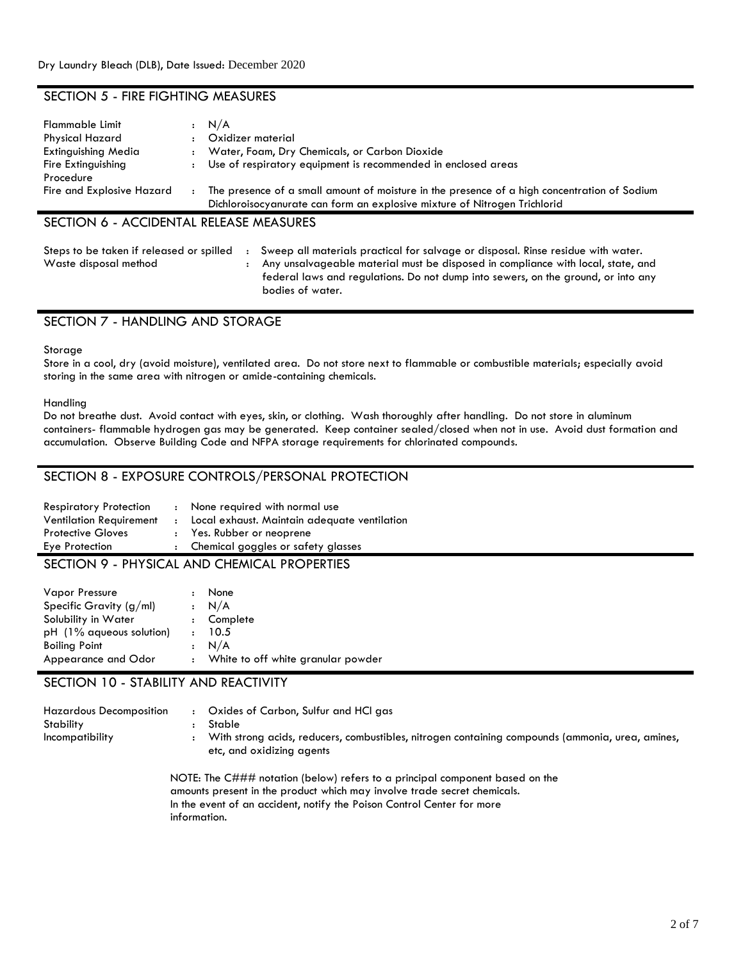## SECTION 5 - FIRE FIGHTING MEASURES

| Flammable Limit           |                | N/A                                                                                          |
|---------------------------|----------------|----------------------------------------------------------------------------------------------|
| <b>Physical Hazard</b>    |                | Oxidizer material                                                                            |
| Extinguishing Media       |                | Water, Foam, Dry Chemicals, or Carbon Dioxide                                                |
| Fire Extinguishing        |                | Use of respiratory equipment is recommended in enclosed areas                                |
| Procedure                 |                |                                                                                              |
| Fire and Explosive Hazard | $\ddot{\cdot}$ | The presence of a small amount of moisture in the presence of a high concentration of Sodium |
|                           |                | Dichloroisocyanurate can form an explosive mixture of Nitrogen Trichlorid                    |
|                           |                |                                                                                              |

## SECTION 6 - ACCIDENTAL RELEASE MEASURES

| Steps to be taken if released or spilled | : Sweep all materials practical for salvage or disposal. Rinse residue with water. |
|------------------------------------------|------------------------------------------------------------------------------------|
| Waste disposal method                    | Any unsalvageable material must be disposed in compliance with local, state, and   |

federal laws and regulations. Do not dump into sewers, on the ground, or into any bodies of water.

## SECTION 7 - HANDLING AND STORAGE

#### **Storage**

Store in a cool, dry (avoid moisture), ventilated area. Do not store next to flammable or combustible materials; especially avoid storing in the same area with nitrogen or amide-containing chemicals.

#### Handling

Do not breathe dust. Avoid contact with eyes, skin, or clothing. Wash thoroughly after handling. Do not store in aluminum containers- flammable hydrogen gas may be generated. Keep container sealed/closed when not in use. Avoid dust formation and accumulation. Observe Building Code and NFPA storage requirements for chlorinated compounds.

## SECTION 8 - EXPOSURE CONTROLS/PERSONAL PROTECTION

| <b>Respiratory Protection</b><br><b>Ventilation Requirement</b> | : None required with normal use<br>: Local exhaust. Maintain adequate ventilation |
|-----------------------------------------------------------------|-----------------------------------------------------------------------------------|
| <b>Protective Gloves</b>                                        | : Yes. Rubber or neoprene                                                         |
| Eye Protection                                                  | : Chemical goggles or safety glasses                                              |
|                                                                 |                                                                                   |

## SECTION 9 - PHYSICAL AND CHEMICAL PROPERTIES

| <b>Vapor Pressure</b><br>Specific Gravity $(g/ml)$<br>Solubility in Water<br>$pH$ (1% aqueous solution)<br>$\sim$ 100 $\sim$<br><b>Boiling Point</b><br>Appearance and Odor |  | None<br>$\cdot$ N/A<br>: Complete<br>10.5<br>N/A<br>: White to off white granular powder |
|-----------------------------------------------------------------------------------------------------------------------------------------------------------------------------|--|------------------------------------------------------------------------------------------|
|-----------------------------------------------------------------------------------------------------------------------------------------------------------------------------|--|------------------------------------------------------------------------------------------|

## SECTION 10 - STABILITY AND REACTIVITY

| <b>Hazardous Decomposition</b><br>Stability<br>Incompatibility | Oxides of Carbon, Sulfur and HCI gas<br>Stable<br>With strong acids, reducers, combustibles, nitrogen containing compounds (ammonia, urea, amines,<br>etc, and oxidizing agents |
|----------------------------------------------------------------|---------------------------------------------------------------------------------------------------------------------------------------------------------------------------------|
|                                                                | NOTE: The C### notation (below) refers to a principal component based on the                                                                                                    |

amounts present in the product which may involve trade secret chemicals. In the event of an accident, notify the Poison Control Center for more information.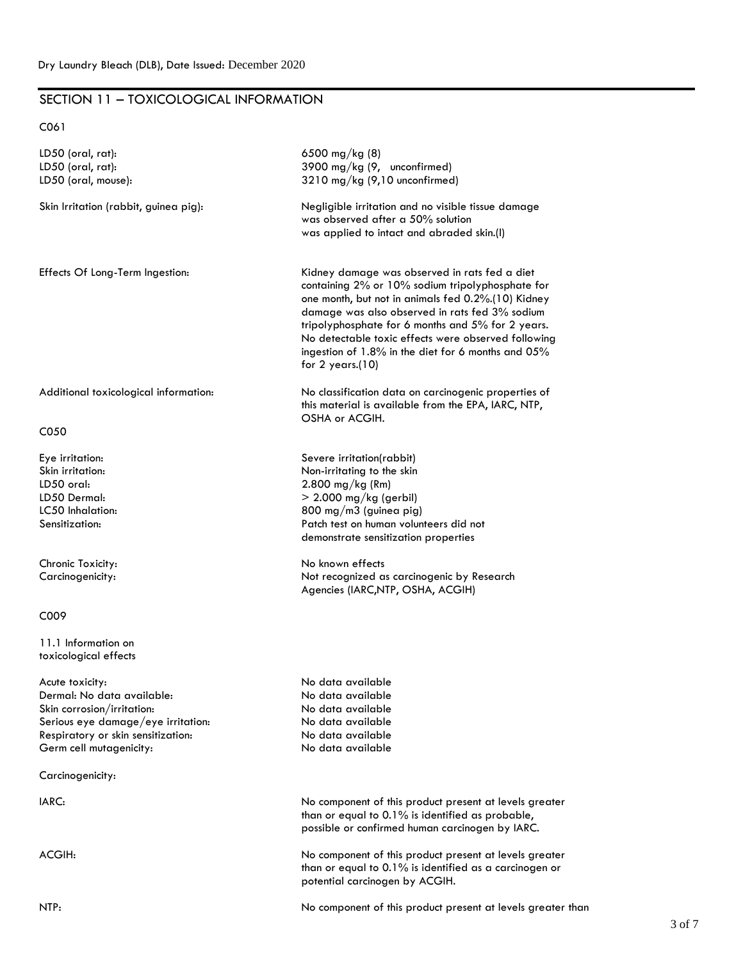## SECTION 11 – TOXICOLOGICAL INFORMATION

C061

| LD50 (oral, rat):                        | 6500 mg/kg (8)                                                                                                                                                                                                                         |
|------------------------------------------|----------------------------------------------------------------------------------------------------------------------------------------------------------------------------------------------------------------------------------------|
| LD50 (oral, rat):<br>LD50 (oral, mouse): | 3900 mg/kg (9, unconfirmed)<br>3210 mg/kg (9,10 unconfirmed)                                                                                                                                                                           |
|                                          |                                                                                                                                                                                                                                        |
| Skin Irritation (rabbit, guinea pig):    | Negligible irritation and no visible tissue damage<br>was observed after a 50% solution                                                                                                                                                |
|                                          | was applied to intact and abraded skin.(I)                                                                                                                                                                                             |
|                                          |                                                                                                                                                                                                                                        |
| Effects Of Long-Term Ingestion:          | Kidney damage was observed in rats fed a diet<br>containing 2% or 10% sodium tripolyphosphate for<br>one month, but not in animals fed 0.2%.(10) Kidney                                                                                |
|                                          | damage was also observed in rats fed 3% sodium<br>tripolyphosphate for 6 months and 5% for 2 years.<br>No detectable toxic effects were observed following<br>ingestion of 1.8% in the diet for 6 months and 05%<br>for $2$ years.(10) |
|                                          |                                                                                                                                                                                                                                        |
| Additional toxicological information:    | No classification data on carcinogenic properties of<br>this material is available from the EPA, IARC, NTP,<br>OSHA or ACGIH.                                                                                                          |
| C050                                     |                                                                                                                                                                                                                                        |
| Eye irritation:                          | Severe irritation(rabbit)                                                                                                                                                                                                              |
| Skin irritation:                         | Non-irritating to the skin                                                                                                                                                                                                             |
| LD50 oral:                               | $2.800$ mg/kg (Rm)                                                                                                                                                                                                                     |
| LD50 Dermal:                             | $>$ 2.000 mg/kg (gerbil)                                                                                                                                                                                                               |
| LC50 Inhalation:                         | 800 mg/m3 (guinea pig)                                                                                                                                                                                                                 |
| Sensitization:                           | Patch test on human volunteers did not                                                                                                                                                                                                 |
|                                          | demonstrate sensitization properties                                                                                                                                                                                                   |
| Chronic Toxicity:                        | No known effects                                                                                                                                                                                                                       |
| Carcinogenicity:                         | Not recognized as carcinogenic by Research<br>Agencies (IARC, NTP, OSHA, ACGIH)                                                                                                                                                        |
| C009                                     |                                                                                                                                                                                                                                        |
| 11.1 Information on                      |                                                                                                                                                                                                                                        |
| toxicological effects                    |                                                                                                                                                                                                                                        |
| Acute toxicity:                          | No data available                                                                                                                                                                                                                      |
| Dermal: No data available:               | No data available                                                                                                                                                                                                                      |
| Skin corrosion/irritation:               | No data available                                                                                                                                                                                                                      |
| Serious eye damage/eye irritation:       | No data available                                                                                                                                                                                                                      |
| Respiratory or skin sensitization:       | No data available                                                                                                                                                                                                                      |
| Germ cell mutagenicity:                  | No data available                                                                                                                                                                                                                      |
| Carcinogenicity:                         |                                                                                                                                                                                                                                        |
| IARC:                                    | No component of this product present at levels greater                                                                                                                                                                                 |
|                                          | than or equal to 0.1% is identified as probable,<br>possible or confirmed human carcinogen by IARC.                                                                                                                                    |
| ACGIH:                                   | No component of this product present at levels greater                                                                                                                                                                                 |
|                                          | than or equal to 0.1% is identified as a carcinogen or<br>potential carcinogen by ACGIH.                                                                                                                                               |
| NTP:                                     | No component of this product present at levels greater than                                                                                                                                                                            |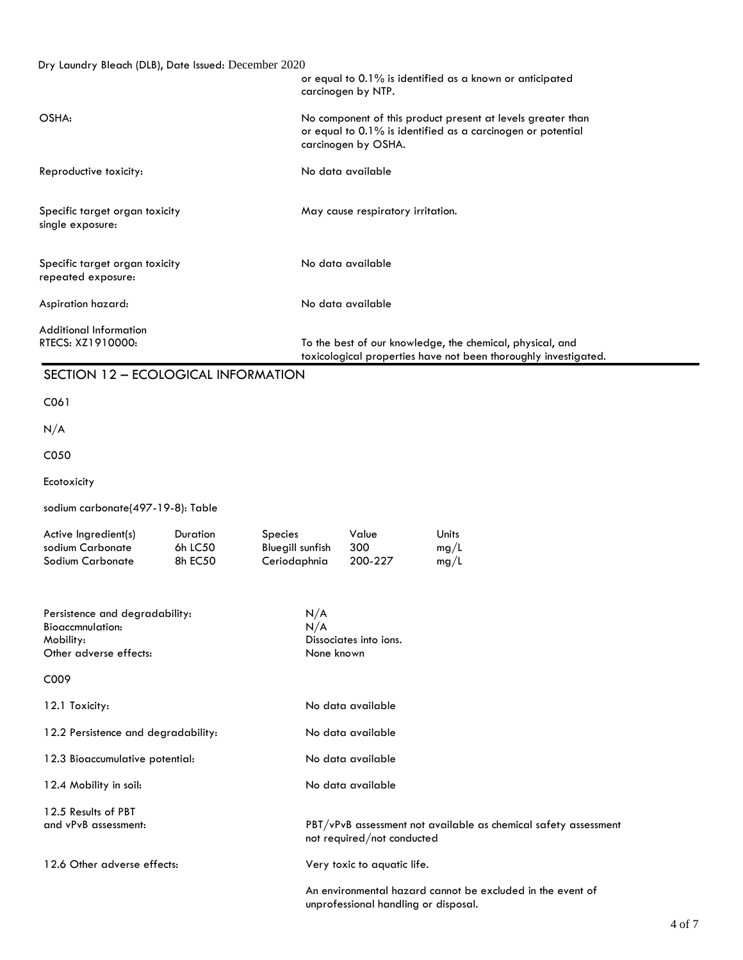| Dry Laundry Bleach (DLB), Date Issued: December 2020                                             |                                |                                                    | carcinogen by NTP.                                                                                                                                | or equal to 0.1% is identified as a known or anticipated  |                                                                 |  |  |
|--------------------------------------------------------------------------------------------------|--------------------------------|----------------------------------------------------|---------------------------------------------------------------------------------------------------------------------------------------------------|-----------------------------------------------------------|-----------------------------------------------------------------|--|--|
| OSHA:                                                                                            |                                |                                                    | No component of this product present at levels greater than<br>or equal to 0.1% is identified as a carcinogen or potential<br>carcinogen by OSHA. |                                                           |                                                                 |  |  |
| Reproductive toxicity:                                                                           |                                |                                                    | No data available                                                                                                                                 |                                                           |                                                                 |  |  |
| Specific target organ toxicity<br>single exposure:                                               |                                |                                                    | May cause respiratory irritation.                                                                                                                 |                                                           |                                                                 |  |  |
| Specific target organ toxicity<br>repeated exposure:                                             |                                |                                                    | No data available                                                                                                                                 |                                                           |                                                                 |  |  |
| Aspiration hazard:                                                                               |                                |                                                    | No data available                                                                                                                                 |                                                           |                                                                 |  |  |
| <b>Additional Information</b><br>RTECS: XZ1910000:                                               |                                |                                                    |                                                                                                                                                   | To the best of our knowledge, the chemical, physical, and | toxicological properties have not been thoroughly investigated. |  |  |
| SECTION 12 - ECOLOGICAL INFORMATION                                                              |                                |                                                    |                                                                                                                                                   |                                                           |                                                                 |  |  |
| C061                                                                                             |                                |                                                    |                                                                                                                                                   |                                                           |                                                                 |  |  |
| N/A                                                                                              |                                |                                                    |                                                                                                                                                   |                                                           |                                                                 |  |  |
| C050                                                                                             |                                |                                                    |                                                                                                                                                   |                                                           |                                                                 |  |  |
| Ecotoxicity                                                                                      |                                |                                                    |                                                                                                                                                   |                                                           |                                                                 |  |  |
| sodium carbonate(497-19-8): Table                                                                |                                |                                                    |                                                                                                                                                   |                                                           |                                                                 |  |  |
| Active Ingredient(s)<br>sodium Carbonate<br>Sodium Carbonate                                     | Duration<br>6h LC50<br>8h EC50 | Species<br><b>Bluegill sunfish</b><br>Ceriodaphnia | Value<br>300<br>200-227                                                                                                                           | Units<br>mg/L<br>mg/L                                     |                                                                 |  |  |
| Persistence and degradability:<br><b>Bioaccmnulation:</b><br>Mobility:<br>Other adverse effects: |                                | N/A<br>N/A<br>None known                           | Dissociates into ions.                                                                                                                            |                                                           |                                                                 |  |  |
| C009                                                                                             |                                |                                                    |                                                                                                                                                   |                                                           |                                                                 |  |  |
| 12.1 Toxicity:                                                                                   |                                |                                                    | No data available                                                                                                                                 |                                                           |                                                                 |  |  |
| 12.2 Persistence and degradability:                                                              |                                |                                                    | No data available                                                                                                                                 |                                                           |                                                                 |  |  |
| 12.3 Bioaccumulative potential:                                                                  |                                |                                                    | No data available                                                                                                                                 |                                                           |                                                                 |  |  |
| 12.4 Mobility in soil:                                                                           |                                |                                                    | No data available                                                                                                                                 |                                                           |                                                                 |  |  |
| 12.5 Results of PBT<br>and vPvB assessment:                                                      |                                |                                                    | not required/not conducted                                                                                                                        |                                                           | PBT/vPvB assessment not available as chemical safety assessment |  |  |

12.6 Other adverse effects: Very toxic to aquatic life.

An environmental hazard cannot be excluded in the event of unprofessional handling or disposal.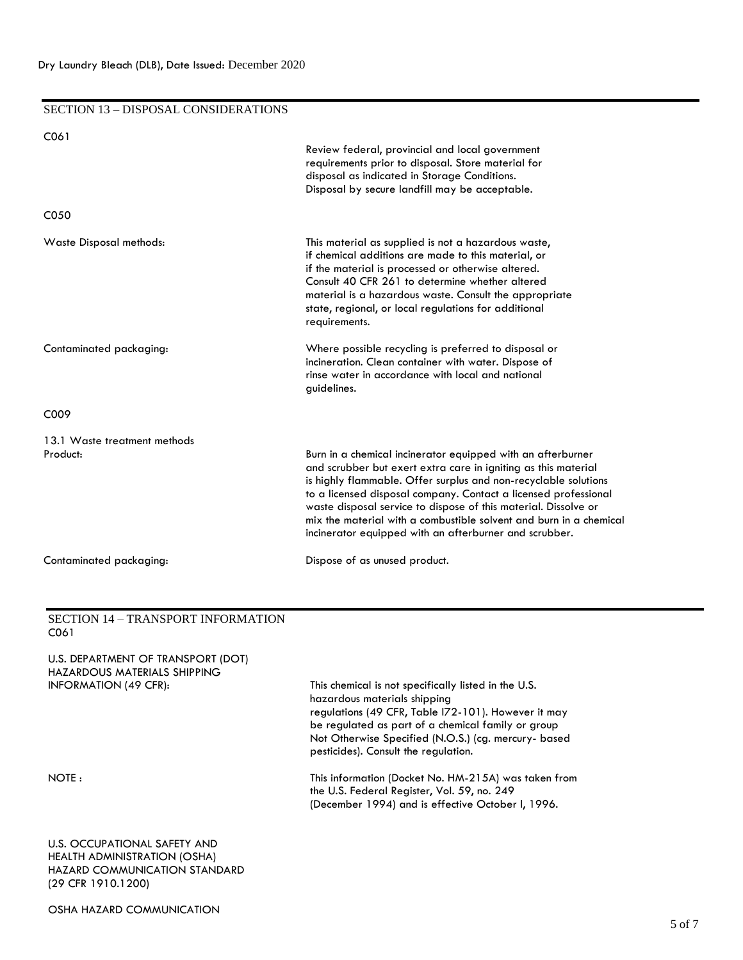## SECTION 13 – DISPOSAL CONSIDERATIONS C061 Review federal, provincial and local government requirements prior to disposal. Store material for disposal as indicated in Storage Conditions. Disposal by secure landfill may be acceptable. C050 Waste Disposal methods: This material as supplied is not a hazardous waste, if chemical additions are made to this material, or if the material is processed or otherwise altered. Consult 40 CFR 261 to determine whether altered material is a hazardous waste. Consult the appropriate state, regional, or local regulations for additional requirements. Contaminated packaging: Where possible recycling is preferred to disposal or incineration. Clean container with water. Dispose of rinse water in accordance with local and national guidelines. C009 13.1 Waste treatment methods Product: Burn in a chemical incinerator equipped with an afterburner and scrubber but exert extra care in igniting as this material is highly flammable. Offer surplus and non-recyclable solutions to a licensed disposal company. Contact a licensed professional waste disposal service to dispose of this material. Dissolve or mix the material with a combustible solvent and burn in a chemical incinerator equipped with an afterburner and scrubber. Contaminated packaging: Dispose of as unused product.

#### SECTION 14 – TRANSPORT INFORMATION C061

| U.S. DEPARTMENT OF TRANSPORT (DOT)<br>HAZARDOUS MATERIALS SHIPPING<br><b>INFORMATION (49 CFR):</b> | This chemical is not specifically listed in the U.S.<br>hazardous materials shipping<br>regulations (49 CFR, Table 172-101). However it may<br>be regulated as part of a chemical family or group<br>Not Otherwise Specified (N.O.S.) (cg. mercury- based<br>pesticides). Consult the regulation. |
|----------------------------------------------------------------------------------------------------|---------------------------------------------------------------------------------------------------------------------------------------------------------------------------------------------------------------------------------------------------------------------------------------------------|
| NOTE:                                                                                              | This information (Docket No. HM-215A) was taken from<br>the U.S. Federal Register, Vol. 59, no. 249<br>(December 1994) and is effective October I, 1996.                                                                                                                                          |
| LLC OCCURATIONIAL CAFETY ANID                                                                      |                                                                                                                                                                                                                                                                                                   |

U.S. OCCUPATIONAL SAFETY AND HEALTH ADMINISTRATION (OSHA) HAZARD COMMUNICATION STANDARD (29 CFR 1910.1200)

OSHA HAZARD COMMUNICATION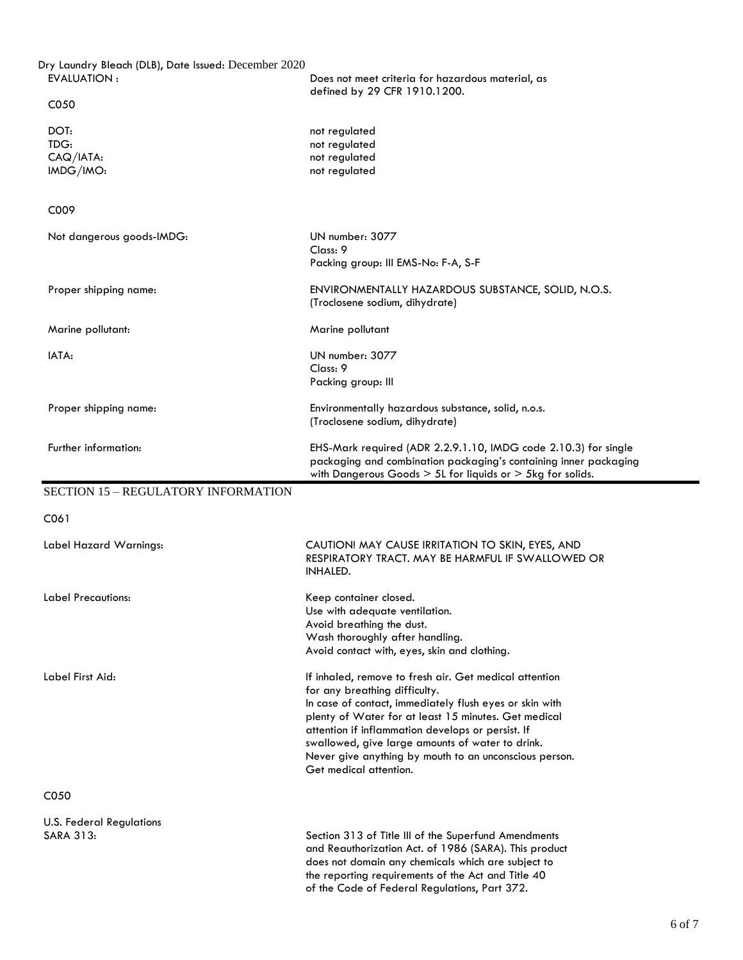| Dry Laundry Bleach (DLB), Date Issued: December 2020<br><b>EVALUATION:</b> | Does not meet criteria for hazardous material, as                                                                                                                                                                                                                                                                                                                                                       |
|----------------------------------------------------------------------------|---------------------------------------------------------------------------------------------------------------------------------------------------------------------------------------------------------------------------------------------------------------------------------------------------------------------------------------------------------------------------------------------------------|
| C050                                                                       | defined by 29 CFR 1910.1200.                                                                                                                                                                                                                                                                                                                                                                            |
| DOT:<br>TDG:<br>$CAQ/IATA$ :<br>IMDG/IMO:                                  | not regulated<br>not regulated<br>not regulated<br>not regulated                                                                                                                                                                                                                                                                                                                                        |
| C009                                                                       |                                                                                                                                                                                                                                                                                                                                                                                                         |
| Not dangerous goods-IMDG:                                                  | UN number: 3077<br>Class: 9<br>Packing group: III EMS-No: F-A, S-F                                                                                                                                                                                                                                                                                                                                      |
| Proper shipping name:                                                      | ENVIRONMENTALLY HAZARDOUS SUBSTANCE, SOLID, N.O.S.<br>(Troclosene sodium, dihydrate)                                                                                                                                                                                                                                                                                                                    |
| Marine pollutant:                                                          | Marine pollutant                                                                                                                                                                                                                                                                                                                                                                                        |
| IATA:                                                                      | UN number: 3077<br>Class: 9<br>Packing group: III                                                                                                                                                                                                                                                                                                                                                       |
| Proper shipping name:                                                      | Environmentally hazardous substance, solid, n.o.s.<br>(Troclosene sodium, dihydrate)                                                                                                                                                                                                                                                                                                                    |
| Further information:                                                       | EHS-Mark required (ADR 2.2.9.1.10, IMDG code 2.10.3) for single<br>packaging and combination packaging's containing inner packaging<br>with Dangerous Goods $> 5L$ for liquids or $> 5kg$ for solids.                                                                                                                                                                                                   |
| <b>SECTION 15 - REGULATORY INFORMATION</b>                                 |                                                                                                                                                                                                                                                                                                                                                                                                         |
| C061                                                                       |                                                                                                                                                                                                                                                                                                                                                                                                         |
| Label Hazard Warnings:                                                     | CAUTION! MAY CAUSE IRRITATION TO SKIN, EYES, AND<br>RESPIRATORY TRACT, MAY BE HARMFUL IF SWALLOWED OR<br><b>INHALED.</b>                                                                                                                                                                                                                                                                                |
| Label Precautions:                                                         | Keep container closed.<br>Use with adequate ventilation.<br>Avoid breathing the dust.<br>Wash thoroughly after handling.<br>Avoid contact with, eyes, skin and clothing.                                                                                                                                                                                                                                |
| Label First Aid:                                                           | If inhaled, remove to fresh air. Get medical attention<br>for any breathing difficulty.<br>In case of contact, immediately flush eyes or skin with<br>plenty of Water for at least 15 minutes. Get medical<br>attention if inflammation develops or persist. If<br>swallowed, give large amounts of water to drink.<br>Never give anything by mouth to an unconscious person.<br>Get medical attention. |
| C050                                                                       |                                                                                                                                                                                                                                                                                                                                                                                                         |
| <b>U.S. Federal Regulations</b><br>SARA 313:                               | Section 313 of Title III of the Superfund Amendments<br>and Reauthorization Act. of 1986 (SARA). This product<br>does not domain any chemicals which are subject to<br>the reporting requirements of the Act and Title 40<br>of the Code of Federal Regulations, Part 372.                                                                                                                              |